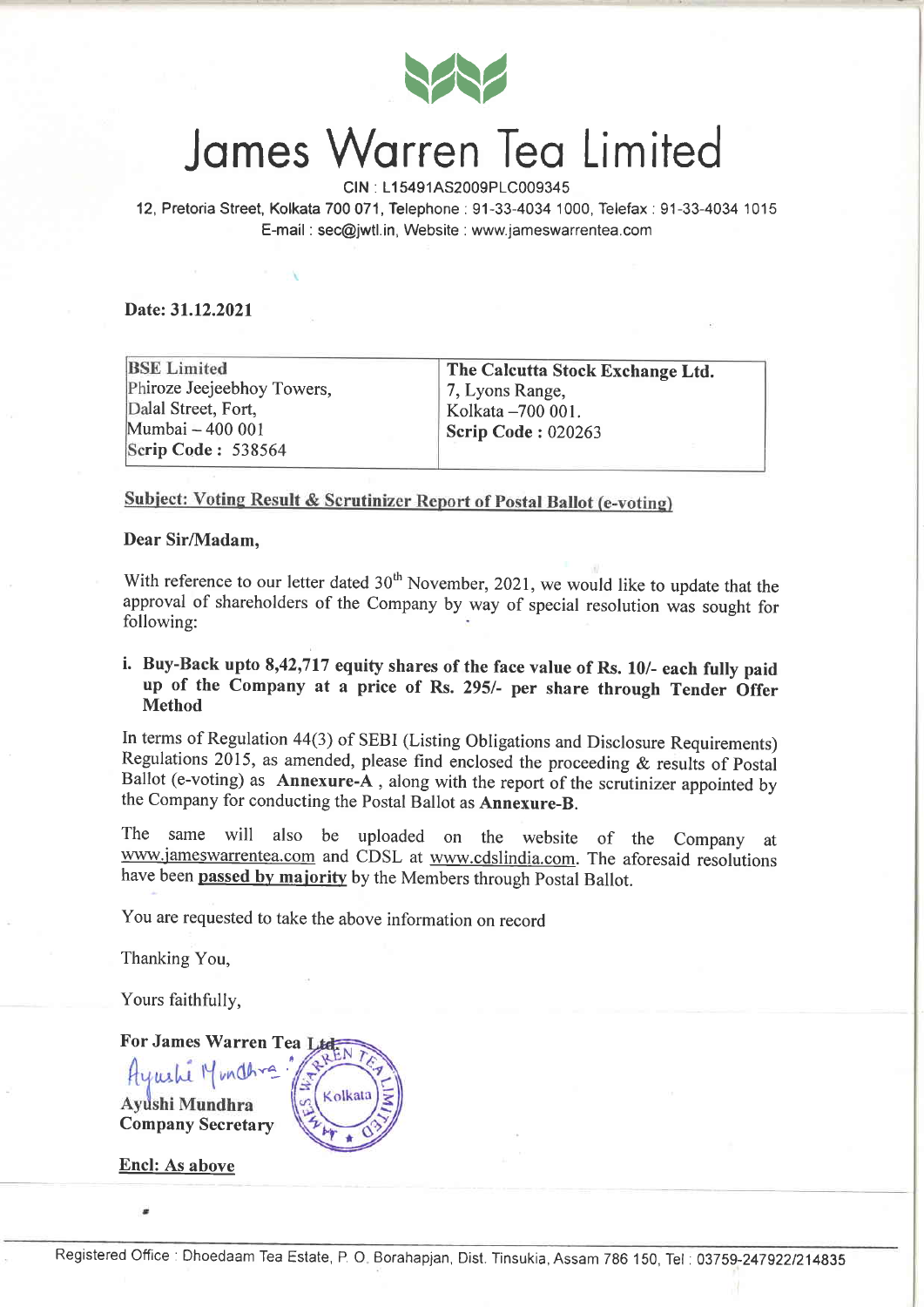

### James Warren Tea Limited

CIN : L15491AS2009PLC009345

12, Pretoria Street, Kolkata 700071, Telephone:91-33-4034'1000, Telefax:91-33-4034 1015 E-mail : sec@jwtl.in, Website : www.jameswarrentea.com

Date:31.12.2021

**BSE Limited** Phiroze Jeejeebhoy Towers, Dalal Street, Fort, Mumbai - 400 001 Scrip Code: 538564

The Calcutta Stock Exchange Ltd. 7, Lyons Range, Kolkata -700 001. Scrip Code : 020263

#### **Subject: Voting Result & Scrutinizer Report of Postal Ballot (e-voting)**

Dear Sir/Madam.

With reference to our letter dated  $30<sup>th</sup>$  November, 2021, we would like to update that the approval of shareholders of the Company by way of special resolution was sought for following:

#### i. Buy-Back upto 8,42,717 equify shares of the face value of Rs. 10/- each fully paid up of the Company at a price of Rs. 295/- per share through Tender Offer Method

In terms of Regulation 44(3) of SEBI (Listing Obligations and Disclosure Requirements) Regulations 2015, as amended, please find enclosed the proceeding & results of postal Ballot (e-voting) as Annexure-A, along with the report of the scrutinizer appointed by the Company for conducting the Postal Ballot as Annexure-B.

The same will also be uploaded on the website of the company at www.jameswarrentea.com and CDSL at www.cdslindia.com. The aforesaid resolutions have been passed by majority by the Members through Postal Ballot.

You are requested to take the above information on record

Thanking You,

Yours faithfully,

For James Warren Tea Humely Munching Ayushi Mundhra I Company Secretary

Encl: As above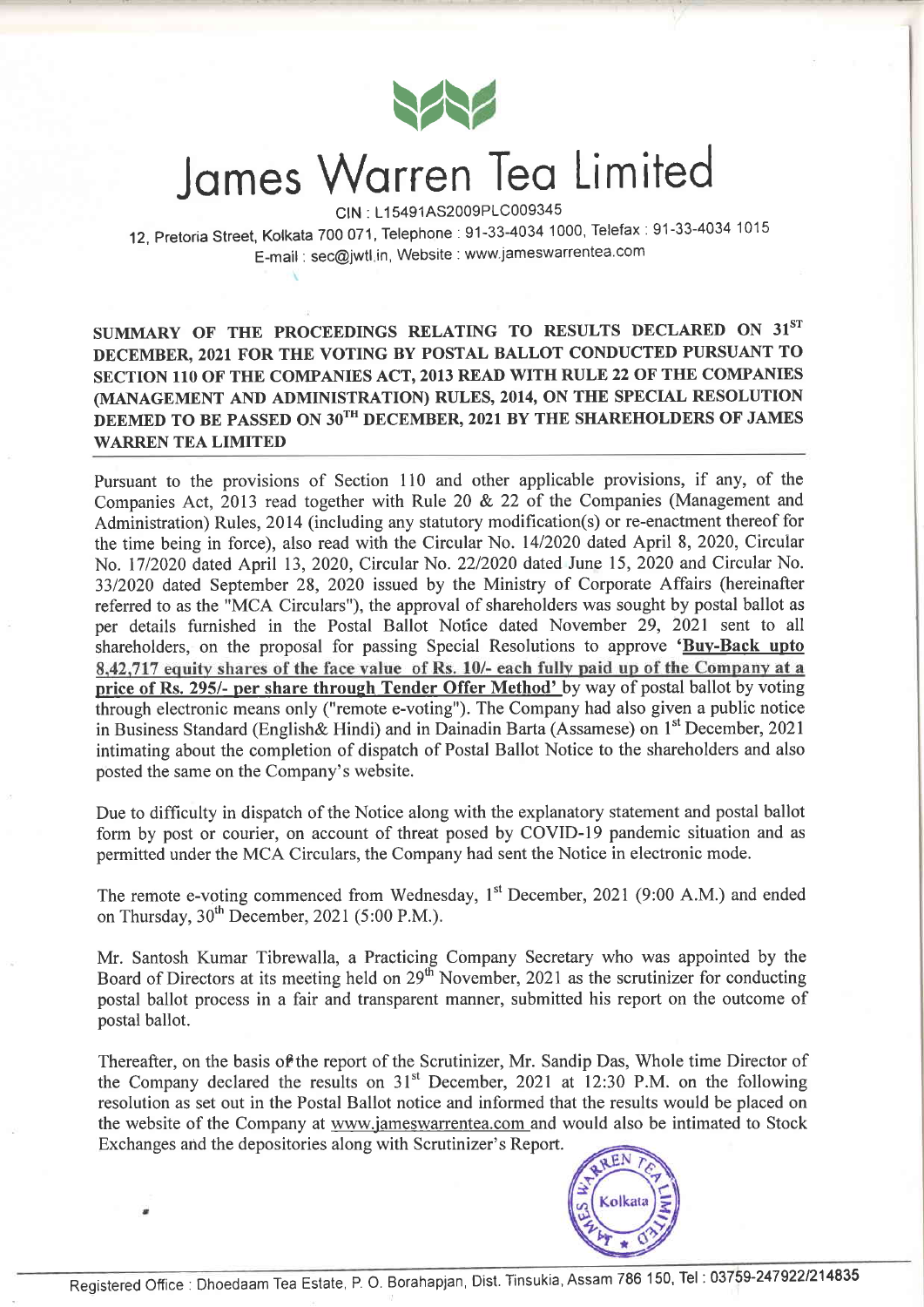

### Jomes Worren Teo Limited

CtN : L1 5491AS2009P1C009345

12, Pretoria Street, Kolkata 700 071, Telephone: 91-33-4034 1000, Telefax: 91-33-4034 1015 E-mail : sec@jwtlin, Website : www'jameswarrentea com

#### SUMMARY OF THE PROCEEDINGS RELATING TO RESULTS DECLARED ON 31ST DECEMBER, 2021 FOR THE VOTING BY POSTAL BALLOT CONDUCTED PURSUANT TO SECTION 110 OF THE COMPANIES ACT, 2013 READ WITH RULE 22 OF THE COMPANIES (MANAGEMENT AND ADMINTSTRATION) RULES, 2014, ON THE SPECIAL RESOLUTION DEEMED TO BE PASSED ON  $30^{TH}$  DECEMBER, 2021 BY THE SHAREHOLDERS OF JAMES WARREN TEA LIMITED

Pursuant to the provisions of Section 110 and other applicable provisions, if any, of the Companies Act, 2013 read together with Rule 20 & 22 of the Companies (Management and Administration) Rules, 2014 (including any statutory modification(s) or re-enactment thereof for the time being in force), also read with the Circular No. 1412020 dated April 8, 2020, Circular No. 1712020 dated April 13, 2020, Circular No.2212020 dated June 15, 2020 and Circular No. 3312020 dated September 28, 2020 issued by the Ministry of Corporate Affairs (hereinafter refered to as the "MCA Circulars"), the approval of shareholders was sought by postal ballot as per details furnished in the Postal Ballot Notice dated November 29, 2021 sent to all shareholders, on the proposal for passing Special Resolutions to approve 'Buy-Back upto 8,42,717 equity shares of the face value of Rs. 10/- each fully paid up of the Company at a price of Rs. 295/- per share through Tender Offer Method' by way of postal ballot by voting through electronic means only ("remote e-voting"). The Company had also given a public notice in Business Standard (English & Hindi) and in Dainadin Barta (Assamese) on  $1<sup>st</sup>$  December, 2021 intimating about the completion of dispatch of Postal Ballot Notice to the shareholders and also posted the same on the Company's website.

Due to difficulty in dispatch of the Notice along with the explanatory statement and postal ballot form by post or courier, on account of threat posed by COVID-I9 pandemic situation and as permitted under the MCA Circulars, the Company had sent the Notice in electronic mode.

The remote e-voting commenced from Wednesday, 1<sup>st</sup> December, 2021 (9:00 A.M.) and ended on Thursday,  $30^{th}$  December, 2021 (5:00 P.M.).

Mr. Santosh Kumar Tibrewalla, a Practicing Company Secretary who was appointed by the Board of Directors at its meeting held on 29<sup>th</sup> November, 2021 as the scrutinizer for conducting postal ballot process in a fair and transparent manner, submitted his report on the outcome of postal ballot.

Thereafter, on the basis of the report of the Scrutinizer, Mr. Sandip Das, Whole time Director of the Company declared the results on  $31<sup>st</sup>$  December, 2021 at 12:30 P.M. on the following resolution as set out in the Postal Ballot notice and informed that the results would be placed on the website of the Company at www.jameswarrentea.com and would also be intimated to Stock Exchanges and the depositories along with Scrutinizer's Report.

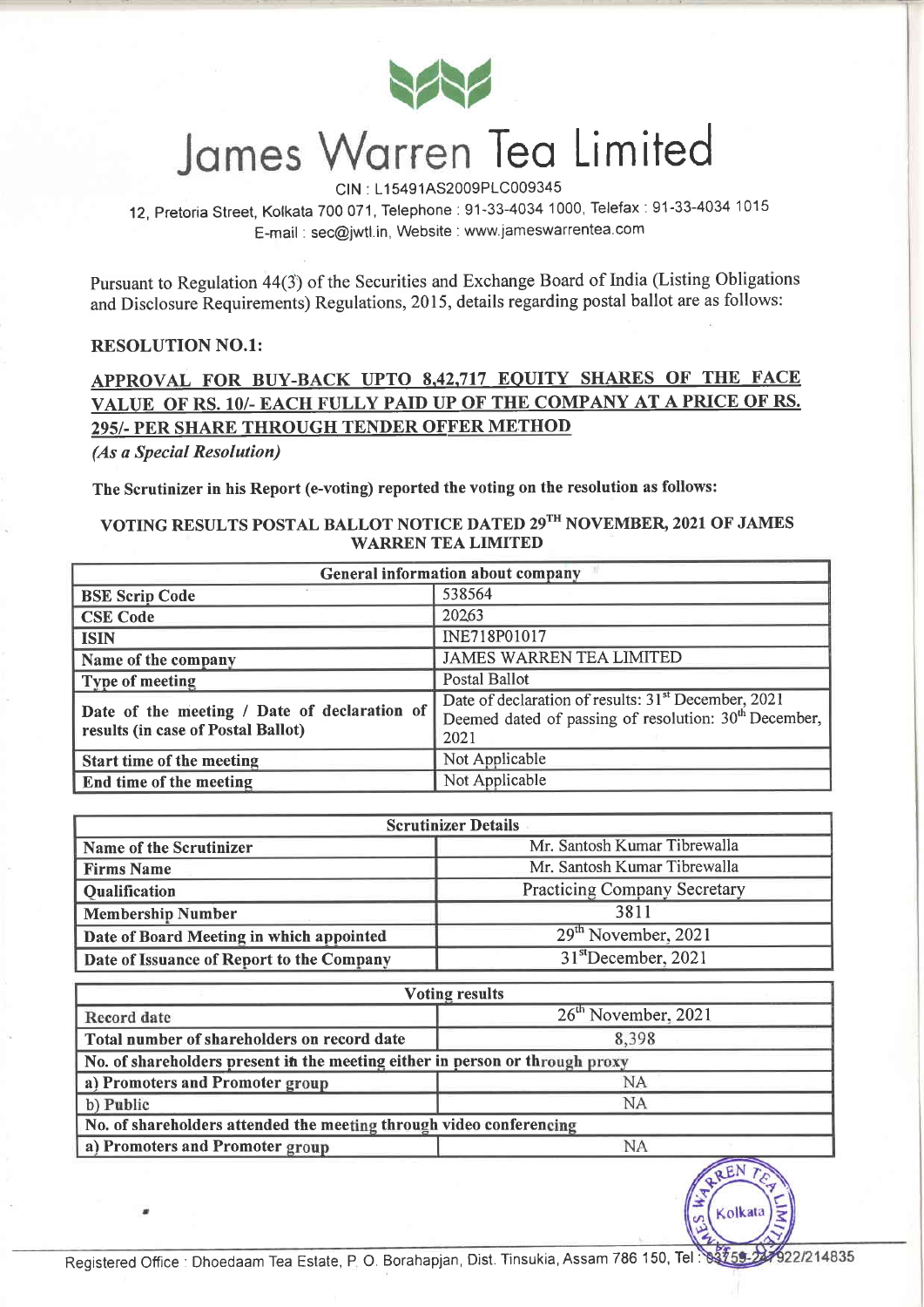

# James Warren Tea Limited

CIN : L15491AS2009PLC009345

12, pretoria Street, Kolkata 700 071, Telephone:91-33-4034 1000, Telefax:91-33-4034'1015 E-mail : sec@jwtl.in, Website : www.jameswarrentea.com

Pursuant to Regulation 44(3) of the Securities and Exchange Board of India (Listing Obligations and Disclosure Requirements) Regulations,20l5, details regarding postal ballot are as follows:

#### RESOLUTION NO.l:

#### APPROVAL FOR BUY-BACK UPTO 8.42.717 EOUITY SHARES OF THE FACE VALUE OF RS. 1O/- EACII FULLY PAID UP OF THE COMPANY AT A PRICE OF RS. 295/. PER SHARE THROUGH TENDER OFFER METHOD

(As a Special Resolution)

The Scrutinizer in his Report (e-voting) reported the voting on the resolution as follows:

#### VOTING RESULTS POSTAL BALLOT NOTICE DATED 29<sup>TH</sup> NOVEMBER, 2021 OF JAMES WARREN TEA LIMITED

| <b>General information about company</b>                                           |                                                                                                                                              |  |  |  |  |
|------------------------------------------------------------------------------------|----------------------------------------------------------------------------------------------------------------------------------------------|--|--|--|--|
| <b>BSE Scrip Code</b>                                                              | 538564                                                                                                                                       |  |  |  |  |
| <b>CSE Code</b>                                                                    | 20263                                                                                                                                        |  |  |  |  |
| <b>ISIN</b>                                                                        | INE718P01017                                                                                                                                 |  |  |  |  |
| Name of the company                                                                | <b>JAMES WARREN TEA LIMITED</b>                                                                                                              |  |  |  |  |
| Type of meeting                                                                    | <b>Postal Ballot</b>                                                                                                                         |  |  |  |  |
| Date of the meeting / Date of declaration of<br>results (in case of Postal Ballot) | Date of declaration of results: 31 <sup>st</sup> December, 2021<br>Deemed dated of passing of resolution: 30 <sup>th</sup> December,<br>2021 |  |  |  |  |
| Start time of the meeting                                                          | Not Applicable                                                                                                                               |  |  |  |  |
| End time of the meeting                                                            | Not Applicable                                                                                                                               |  |  |  |  |

| <b>Scrutinizer Details</b>                |                                     |  |  |  |  |
|-------------------------------------------|-------------------------------------|--|--|--|--|
| Name of the Scrutinizer                   | Mr. Santosh Kumar Tibrewalla        |  |  |  |  |
| <b>Firms Name</b>                         | Mr. Santosh Kumar Tibrewalla        |  |  |  |  |
| <b>Qualification</b>                      | <b>Practicing Company Secretary</b> |  |  |  |  |
| <b>Membership Number</b>                  | 3811                                |  |  |  |  |
| Date of Board Meeting in which appointed  | 29 <sup>th</sup> November, 2021     |  |  |  |  |
| Date of Issuance of Report to the Company | $31st$ December, 2021               |  |  |  |  |

| <b>Voting results</b>                                                        |           |  |  |  |  |  |
|------------------------------------------------------------------------------|-----------|--|--|--|--|--|
| $26th$ November, 2021<br>Record date                                         |           |  |  |  |  |  |
| Total number of shareholders on record date                                  | 8,398     |  |  |  |  |  |
| No. of shareholders present in the meeting either in person or through proxy |           |  |  |  |  |  |
| NA<br>a) Promoters and Promoter group                                        |           |  |  |  |  |  |
| b) Public                                                                    | <b>NA</b> |  |  |  |  |  |
| No. of shareholders attended the meeting through video conferencing          |           |  |  |  |  |  |
| NA<br>a) Promoters and Promoter group<br>______                              |           |  |  |  |  |  |

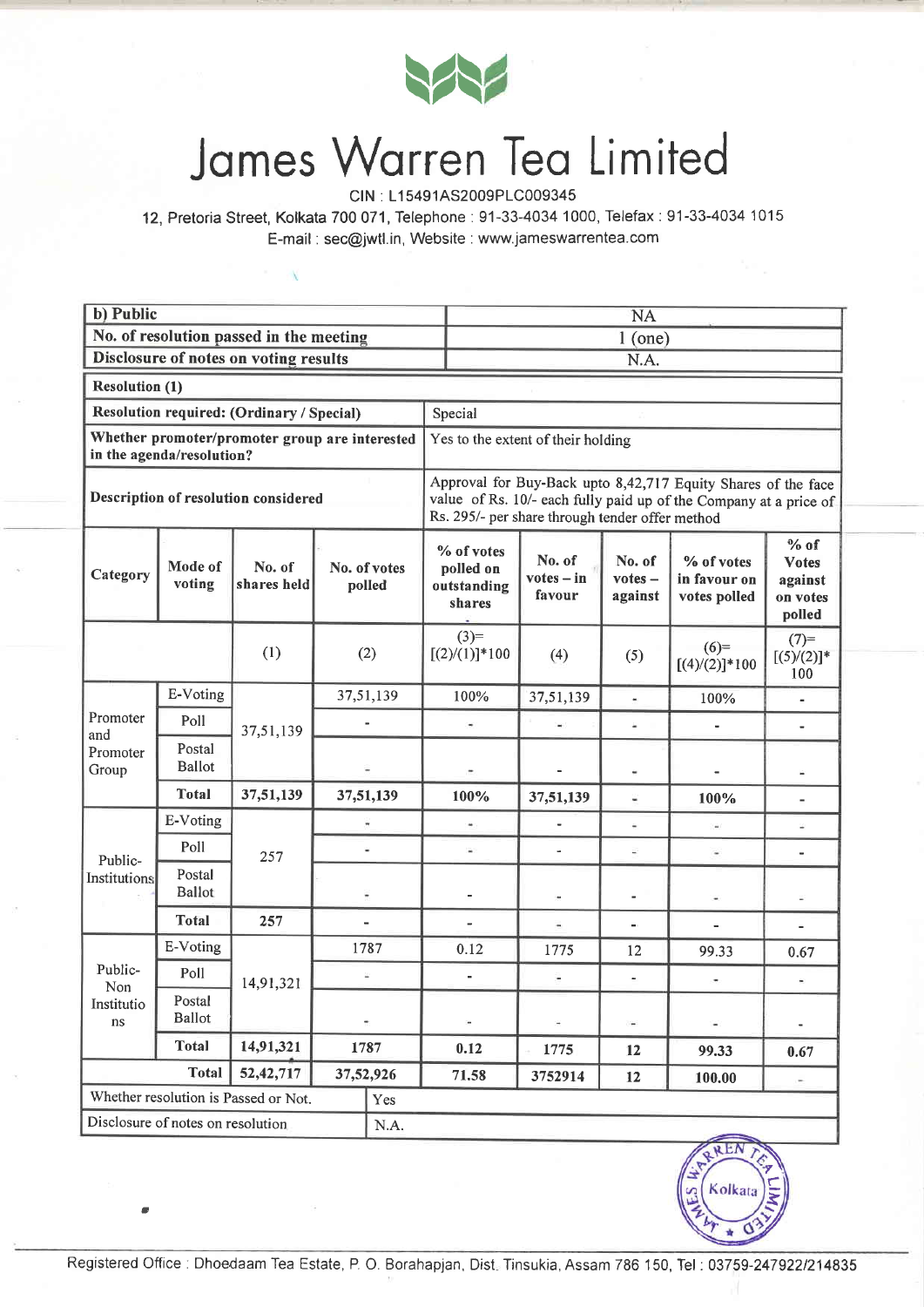

## Jomes Worren Teo Limited

CIN : L15491AS2009PLC009345

12, Pretoria Street, Kolkata 700071, Telephone:91-33-4034 1000, Telefax:91-33-4034 1015 E-mail : sec@jwtl.in, Website : www.jameswarrentea.com

| b) Public                                            |                                                                             |                                      |                          |                           | <b>NA</b>                                                                                                                                                                             |                                    |                                |                                            |                                                         |  |  |
|------------------------------------------------------|-----------------------------------------------------------------------------|--------------------------------------|--------------------------|---------------------------|---------------------------------------------------------------------------------------------------------------------------------------------------------------------------------------|------------------------------------|--------------------------------|--------------------------------------------|---------------------------------------------------------|--|--|
| No. of resolution passed in the meeting              |                                                                             |                                      |                          |                           | $1$ (one)                                                                                                                                                                             |                                    |                                |                                            |                                                         |  |  |
| Disclosure of notes on voting results                |                                                                             |                                      |                          |                           | N.A.                                                                                                                                                                                  |                                    |                                |                                            |                                                         |  |  |
| <b>Resolution (1)</b>                                |                                                                             |                                      |                          |                           |                                                                                                                                                                                       |                                    |                                |                                            |                                                         |  |  |
| Resolution required: (Ordinary / Special)<br>Special |                                                                             |                                      |                          |                           |                                                                                                                                                                                       |                                    |                                |                                            |                                                         |  |  |
|                                                      | Whether promoter/promoter group are interested<br>in the agenda/resolution? |                                      |                          |                           |                                                                                                                                                                                       | Yes to the extent of their holding |                                |                                            |                                                         |  |  |
| Description of resolution considered                 |                                                                             |                                      |                          |                           | Approval for Buy-Back upto 8,42,717 Equity Shares of the face<br>value of Rs. 10/- each fully paid up of the Company at a price of<br>Rs. 295/- per share through tender offer method |                                    |                                |                                            |                                                         |  |  |
| Category                                             | Mode of<br>voting                                                           | No. of<br>shares held                |                          | No. of votes<br>polled    | % of votes<br>polled on<br>outstanding<br>shares                                                                                                                                      | No. of<br>$votes - in$<br>favour   | No. of<br>$votes -$<br>against | % of votes<br>in favour on<br>votes polled | $%$ of<br><b>Votes</b><br>against<br>on votes<br>polled |  |  |
| $(3)=$<br>(1)<br>$[(2) / (1)]$ * 100<br>(2)          |                                                                             | (4)                                  | (5)                      | $(6)=$<br>$[(4)/(2)]*100$ | $(7)=$<br>$[(5)/(2)]$ *<br>100                                                                                                                                                        |                                    |                                |                                            |                                                         |  |  |
|                                                      | E-Voting                                                                    |                                      | 37,51,139                |                           | 100%                                                                                                                                                                                  | 37,51,139                          | $\bullet$                      | 100%                                       |                                                         |  |  |
| Promoter<br>and                                      | Poll                                                                        | 37,51,139                            |                          |                           |                                                                                                                                                                                       | W.                                 | $\omega$                       |                                            |                                                         |  |  |
| Promoter<br>Group                                    | Postal<br><b>Ballot</b>                                                     |                                      |                          |                           |                                                                                                                                                                                       |                                    |                                |                                            |                                                         |  |  |
|                                                      | <b>Total</b>                                                                | 37,51,139                            | 37,51,139                |                           | 100%                                                                                                                                                                                  | 37,51,139                          | Ξ                              | 100%                                       | $\blacksquare$                                          |  |  |
|                                                      | E-Voting                                                                    |                                      | $\overline{\phantom{a}}$ |                           | $\overline{a}$                                                                                                                                                                        | $\blacksquare$                     | $\rightarrow$                  | ú                                          | ¥,                                                      |  |  |
|                                                      | Poll                                                                        | 257                                  | ä,                       |                           | $\sim$                                                                                                                                                                                | $\overline{\phantom{a}}$           | i.                             | $\blacksquare$                             | ä,                                                      |  |  |
| Public-<br>Institutions                              | Postal<br><b>Ballot</b>                                                     |                                      |                          |                           |                                                                                                                                                                                       | ×                                  |                                | $\frac{1}{2}$                              | ä,                                                      |  |  |
|                                                      | <b>Total</b>                                                                | 257                                  |                          |                           |                                                                                                                                                                                       | ٠                                  | ш.                             | $\overline{\phantom{a}}$                   | $\overline{a}$                                          |  |  |
|                                                      | E-Voting                                                                    |                                      |                          | 1787                      | 0.12                                                                                                                                                                                  | 1775                               | 12                             | 99.33                                      | 0.67                                                    |  |  |
| Public-                                              | Poll                                                                        | 14,91,321                            |                          |                           |                                                                                                                                                                                       |                                    |                                |                                            |                                                         |  |  |
| Non<br>Institutio<br>ns                              | Postal<br><b>Ballot</b>                                                     |                                      | $\overline{a}$           |                           | $\blacksquare$                                                                                                                                                                        | Ĥ.                                 | $\blacksquare$                 |                                            |                                                         |  |  |
|                                                      | Total                                                                       | 14,91,321                            | 1787                     |                           | 0.12                                                                                                                                                                                  | 1775                               | 12                             | 99.33                                      | 0.67                                                    |  |  |
|                                                      | <b>Total</b>                                                                | 52, 42, 717                          | 37,52,926                |                           | 71.58                                                                                                                                                                                 | 3752914                            | 12                             | 100.00                                     | $\overline{a}$                                          |  |  |
|                                                      |                                                                             | Whether resolution is Passed or Not. |                          | Yes                       |                                                                                                                                                                                       |                                    |                                |                                            |                                                         |  |  |
|                                                      | Disclosure of notes on resolution                                           |                                      |                          | N.A.                      |                                                                                                                                                                                       |                                    |                                |                                            |                                                         |  |  |



a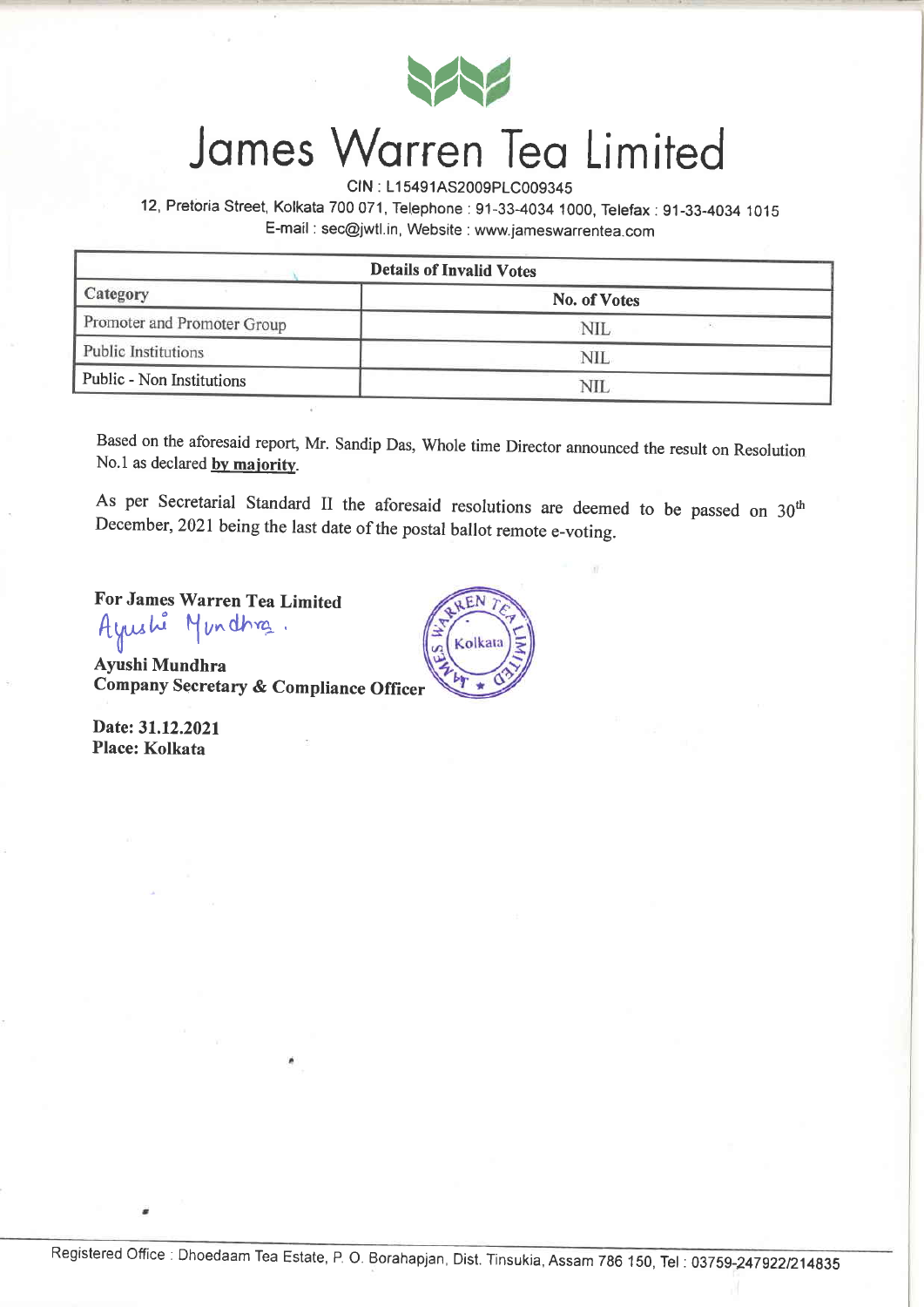

## Jomes Worren Teo Limited

CIN : L15491AS2009PLC009345

12, Pretoria Street, Kolkata 700 071, Telephone: 91-33-4034 1000, Telefax: 91-33-4034 1015 E-mail : sec@wtl.in, Website : www.jameswarrentea.com

| <b>Details of Invalid Votes</b> |              |  |  |  |  |  |
|---------------------------------|--------------|--|--|--|--|--|
| Category                        | No. of Votes |  |  |  |  |  |
| Promoter and Promoter Group     | NIL          |  |  |  |  |  |
| Public Institutions             | NIL          |  |  |  |  |  |
| Public - Non Institutions       |              |  |  |  |  |  |

Based on the aforesaid report, Mr. Sandip Das, Whole time Director announced the result on Resolution No.1 as declared by majority.

As per Secretarial Standard II the aforesaid resolutions are deemed to be passed on  $30<sup>th</sup>$ December, 2021 being the last date of the postal ballot remote e-voting.

Kolkata

For James Warren Tea Limited fyushi Mundhra.  $\mathbb{I}^{\sim}$ 

Ayushi Mundhra Company Secretary & Compliance Officer

Date: 31.12.2021 Place: Kolkata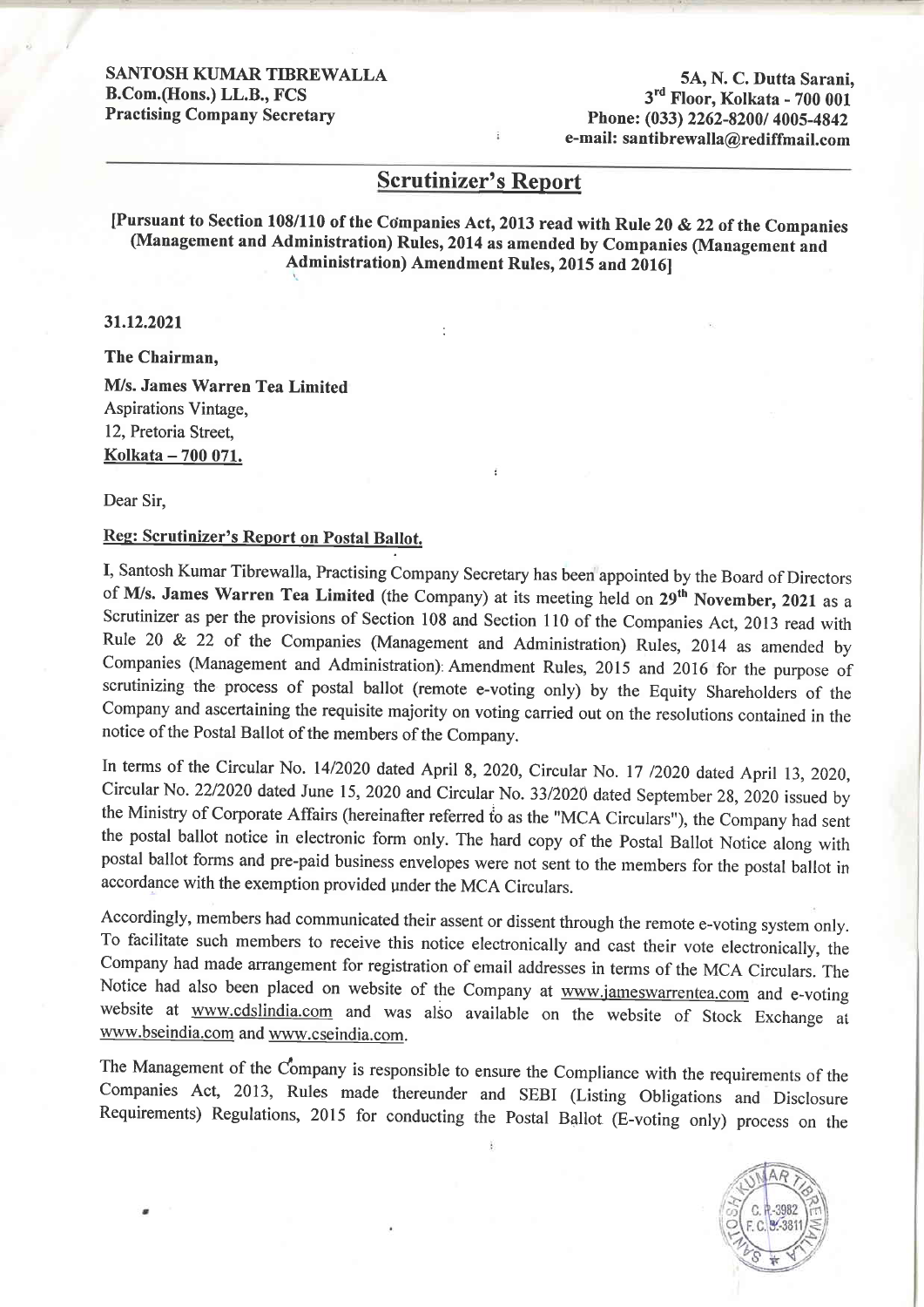SANTOSH KUMAR TIBREWALLA B.Com.(Hons.) LL.B., FCS Practising Company Secretary

5A, N. C. Dutta Sarani, 3<sup>rd</sup> Floor, Kolkata - 700 001 Phone: (033) 2262-8200/ 4005-4842 e-mail: santibrewalla@rediffmail.com

#### Scrutinizer's Report

[Pursuant to Section 108/110 of the Companies Act, 2013 read with Rule 20 & 22 of the Companies (Management and Administration) Rules, 2014 as amended by Companies (Management and Administration) Amendment Rules, 2015 and 20161

31.12.2021

The Chairman, M/s. James Warren Tea Limited Aspirations Vintage, 12, Pretoria Street, Kolkata - 700 071.

Dear Sir,

#### Reg: Scrutinizer's Report on Postal Ballot.

I, Santosh Kumar Tibrewalla, Practising Company Secretary has been appointed by the Board of Directors of M/s. James Warren Tea Limited (the Company) at its meeting held on 29<sup>th</sup> November, 2021 as a Scrutinizer as per the provisions of Section 108 and Section 110 of the Companies Act, 2013 read with Rule 20 & 22 of the Companies (Management and Administration) Rules, 2014 as amended by Companies (Management and Administration):Amendment Rules, 2OI5 and 2016 for the purpose of scrutinizing the process of postal ballot (remote e-voting only) by the Equity Shareholders of the Company and ascertaining the requisite majority on voting carried out on the resolutions contained in the notice of the Postal Ballot of the members of the Company.

In terms of the circular No. 14/2020 dated April 8, 2020, circular No. 17 12020 dated April 13, 2020, Circular No. 22/2020 dated June 15, 2020 and Circular No. 33/2020 dated September 28, 2020 issued by the Ministry of Corporate Affairs (hereinafter referred to as the "MCA Circulars"), the Company had sent the postal ballot notice in electronic form only. The hard copy of the Postal Ballot Notice along with postal ballot forms and pre-paid business envelopes were not sent to the members for the postal ballot in accordance with the exemption provided under the MCA Circulars.

Accordingly, members had communicated their assent or dissent through the remote e-voting system only. To facilitate such members to receive this notice electronically and cast their vote electronically, the Company had made arrangement for registration of email addresses in terms of the MCA Circulars. The Notice had also been placed on website of the Company at www.jameswarrentea.com and e-voting website at www.cdslindia.com and was also available on the website of Stock Exchange at www.bseindia.com and www.cseindia.com.

The Management of the Company is responsible to ensure the Compliance with the requirements of the Companies Act, 2013, Rules made thereunder and SEBI (Listing Obligations and Disclosure Requirements) Regulations, 2015 for conducting the Postal Ballot (E-voting only) process on the

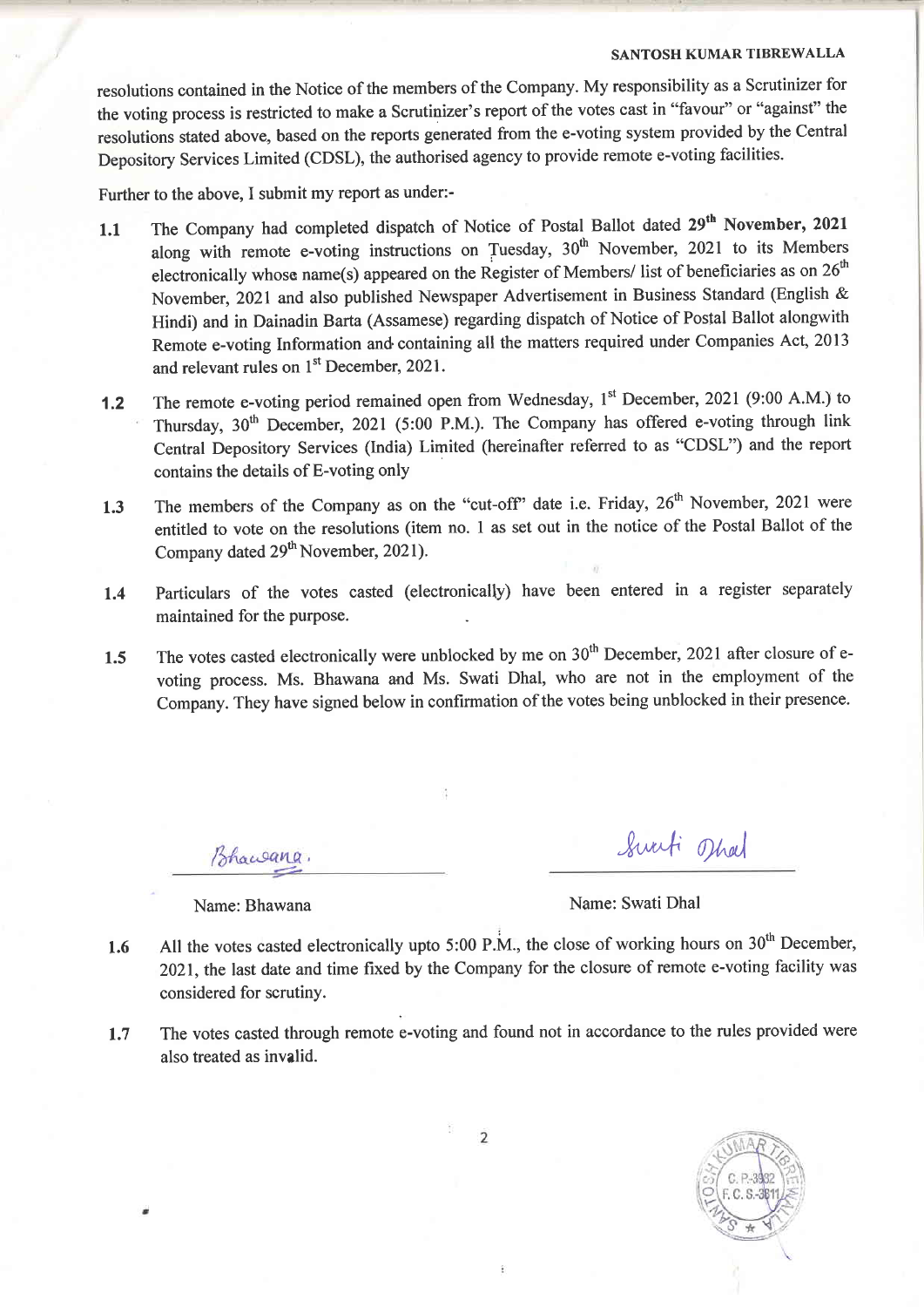#### SANTOSH KUMAR TIBREWALLA

resolutions contained in the Notice of the members of the Company. My responsibility as a Scrutinizer for the voting process is restricted to make a Scrutinizer's report of the votes cast in "favour" or "against" the resolutions stated above, based on the reports generated from the e-voting system provided by the Central Depository Services Limited (CDSL), the authorised agency to provide remote e-voting facilities.

Further to the above, I submit my report as under:-

- 1.1 The Company had completed dispatch of Notice of Postal Ballot dated 29<sup>th</sup> November, 2021 along with remote e-voting instructions on Tuesday,  $30<sup>th</sup>$  November, 2021 to its Members electronically whose name(s) appeared on the Register of Members/ list of beneficiaries as on  $26<sup>th</sup>$ November, 2021 and also published Newspaper Advertisement in Business Standard (English & Hindi) and in Dainadin Barta (Assamese) regarding dispatch of Notice of Postal Ballot alongwith Remote e-voting Information and containing all the matters required under Companies Act, 2013 and relevant rules on 1<sup>st</sup> December, 2021.
- 1.2 The remote e-voting period remained open from Wednesday, 1<sup>st</sup> December, 2021 (9:00 A.M.) to Thursday,  $30<sup>th</sup>$  December, 2021 (5:00 P.M.). The Company has offered e-voting through link Central Depository Services (India) Limited (hereinafter referred to as "CDSL") and the report contains the details of E-voting only
- 1.3 The members of the Company as on the "cut-off" date i.e. Friday, 26<sup>th</sup> November, 2021 were entitled to vote on the resolutions (item no. I as set out in the notice of the Postal Ballot of the Company dated 29<sup>th</sup> November, 2021).
- 1.4 Particulars of the votes casted (electronically) have been entered in a register separately maintained for the purpose.
- 1.5 The votes casted electronically were unblocked by me on 30<sup>th</sup> December, 2021 after closure of evoting process. Ms. Bhawana and Ms. Swati Dhal, who are not in the employment of the Company. They have signed below in confirmation of the votes being unblocked in their presence.

Bhawana,

Swati oth  $\tilde{ }$ 

Name: Bhawana Name: Swati Dhal

- All the votes casted electronically upto 5:00 P.M., the close of working hours on  $30<sup>th</sup>$  December, 2021, the last date and time fixed by the Company for the closure of remote e-voting facility was considered for scrutiny. 1.6
- The votes casted through remote e-voting and found not in accordance to the rules provided were also treated as invalid. 1.7



 $\overline{2}$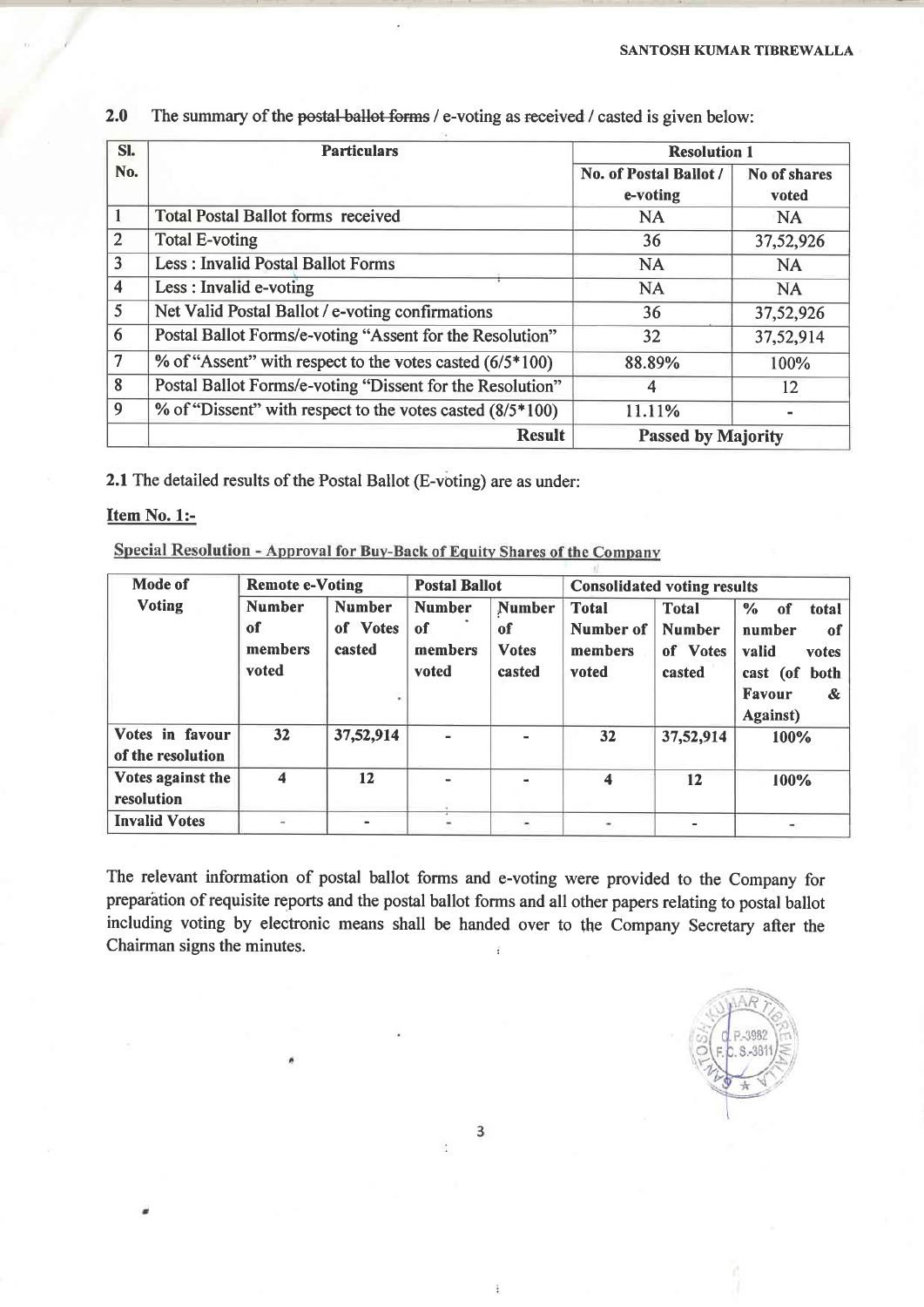| SI.                     | <b>Particulars</b>                                         | <b>Resolution 1</b>       |                     |  |
|-------------------------|------------------------------------------------------------|---------------------------|---------------------|--|
| No.                     |                                                            | No. of Postal Ballot /    | <b>No of shares</b> |  |
|                         |                                                            | e-voting                  | voted               |  |
|                         | <b>Total Postal Ballot forms received</b>                  | <b>NA</b>                 | NA                  |  |
| $\overline{2}$          | <b>Total E-voting</b>                                      | 36                        | 37,52,926           |  |
| 3                       | <b>Less: Invalid Postal Ballot Forms</b>                   | <b>NA</b>                 | <b>NA</b>           |  |
| $\overline{\mathbf{4}}$ | Less : Invalid e-voting                                    | <b>NA</b>                 | <b>NA</b>           |  |
| 5                       | Net Valid Postal Ballot / e-voting confirmations           | 36                        | 37,52,926           |  |
| 6                       | Postal Ballot Forms/e-voting "Assent for the Resolution"   | 32                        | 37,52,914           |  |
| $\overline{7}$          | % of "Assent" with respect to the votes casted $(6/5*100)$ | 88.89%                    | 100%                |  |
| 8                       | Postal Ballot Forms/e-voting "Dissent for the Resolution"  | 4                         | 12                  |  |
| 9                       | % of "Dissent" with respect to the votes casted (8/5*100)  | 11.11%                    |                     |  |
|                         | <b>Result</b>                                              | <b>Passed by Majority</b> |                     |  |

2.0 The summary of the postal-ballot forms / e-voting as received / casted is given below:

2.1 The detailed results of the Postal Ballot (E-voting) are as under:

#### Item No. 1:-

Special Resolution - Approval for Buy-Back of Equity Shares of the Company

| Mode of              | <b>Remote e-Voting</b> |               | <b>Postal Ballot</b> |                | <b>Consolidated voting results</b> |                |                              |  |
|----------------------|------------------------|---------------|----------------------|----------------|------------------------------------|----------------|------------------------------|--|
| <b>Voting</b>        | <b>Number</b>          | <b>Number</b> | <b>Number</b>        | <b>Number</b>  | <b>Total</b>                       | <b>Total</b>   | $\frac{6}{6}$<br>total<br>of |  |
|                      | of                     | of Votes      | of                   | of             | Number of                          | <b>Number</b>  | number<br>of                 |  |
|                      | members                | casted        | members              | <b>Votes</b>   | members                            | of Votes       | valid<br>votes               |  |
|                      | voted                  |               | voted                | casted         | voted                              | casted         | cast (of<br>both             |  |
|                      |                        |               |                      |                |                                    |                | Favour<br>&.                 |  |
|                      |                        |               |                      |                |                                    |                | <b>Against</b> )             |  |
| Votes in favour      | 32 <sub>2</sub>        | 37,52,914     | $\blacksquare$       |                | 32                                 | 37,52,914      | 100%                         |  |
| of the resolution    |                        |               |                      |                |                                    |                |                              |  |
| Votes against the    | 4                      | 12            | $\blacksquare$       | $\blacksquare$ | 4                                  | 12             | 100%                         |  |
| resolution           |                        |               |                      |                |                                    |                |                              |  |
| <b>Invalid Votes</b> |                        |               |                      |                |                                    | $\blacksquare$ | ۰                            |  |

The relevant information of postal ballot forms and e-voting were provided to the Company for preparation of requisite reports and the postal ballot forms and all other papers relating to postal ballot including voting by electronic means shall be handed over to the Company Secretary after the Chairman signs the minutes.



3